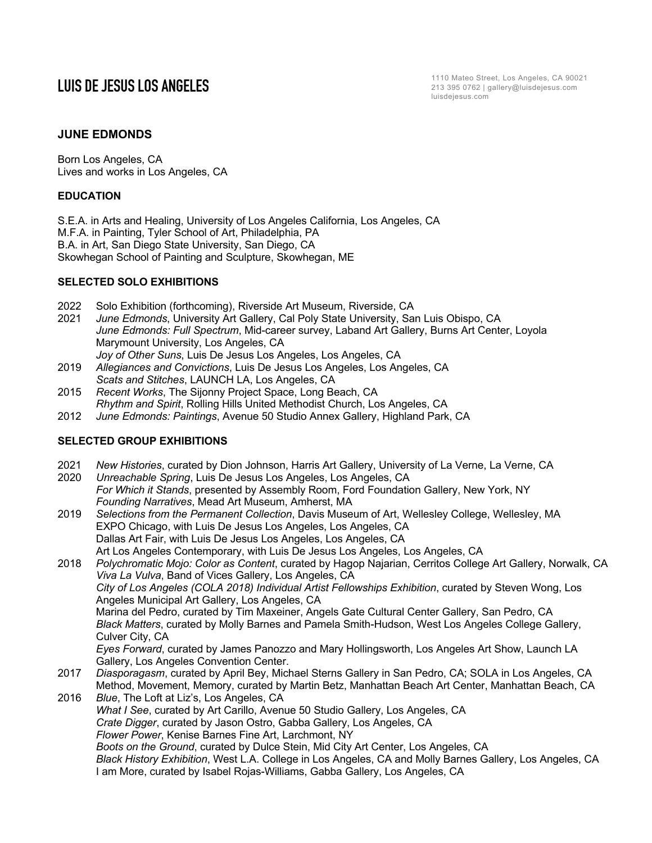# **JUNE EDMONDS**

Born Los Angeles, CA Lives and works in Los Angeles, CA

## **EDUCATION**

S.E.A. in Arts and Healing, University of Los Angeles California, Los Angeles, CA M.F.A. in Painting, Tyler School of Art, Philadelphia, PA B.A. in Art, San Diego State University, San Diego, CA Skowhegan School of Painting and Sculpture, Skowhegan, ME

### **SELECTED SOLO EXHIBITIONS**

- 2022 Solo Exhibition (forthcoming), Riverside Art Museum, Riverside, CA
- 2021 *June Edmonds*, University Art Gallery, Cal Poly State University, San Luis Obispo, CA *June Edmonds: Full Spectrum*, Mid-career survey, Laband Art Gallery, Burns Art Center, Loyola Marymount University, Los Angeles, CA
- *Joy of Other Suns*, Luis De Jesus Los Angeles, Los Angeles, CA 2019 *Allegiances and Convictions*, Luis De Jesus Los Angeles, Los Angeles, CA *Scats and Stitches*, LAUNCH LA, Los Angeles, CA
- 2015 *Recent Works*, The Sijonny Project Space, Long Beach, CA *Rhythm and Spirit*, Rolling Hills United Methodist Church, Los Angeles, CA
- 2012 *June Edmonds: Paintings*, Avenue 50 Studio Annex Gallery, Highland Park, CA

# **SELECTED GROUP EXHIBITIONS**

- 2021 *New Histories*, curated by Dion Johnson, Harris Art Gallery, University of La Verne, La Verne, CA
- 2020 *Unreachable Spring*, Luis De Jesus Los Angeles, Los Angeles, CA *For Which it Stands*, presented by Assembly Room, Ford Foundation Gallery, New York, NY *Founding Narratives*, Mead Art Museum, Amherst, MA
- 2019 *Selections from the Permanent Collection*, Davis Museum of Art, Wellesley College, Wellesley, MA EXPO Chicago, with Luis De Jesus Los Angeles, Los Angeles, CA Dallas Art Fair, with Luis De Jesus Los Angeles, Los Angeles, CA Art Los Angeles Contemporary, with Luis De Jesus Los Angeles, Los Angeles, CA
- 2018 *Polychromatic Mojo: Color as Content*, curated by Hagop Najarian, Cerritos College Art Gallery, Norwalk, CA *Viva La Vulva*, Band of Vices Gallery, Los Angeles, CA *City of Los Angeles (COLA 2018) Individual Artist Fellowships Exhibition*, curated by Steven Wong, Los Angeles Municipal Art Gallery, Los Angeles, CA Marina del Pedro, curated by Tim Maxeiner, Angels Gate Cultural Center Gallery, San Pedro, CA *Black Matters*, curated by Molly Barnes and Pamela Smith-Hudson, West Los Angeles College Gallery, Culver City, CA *Eyes Forward*, curated by James Panozzo and Mary Hollingsworth, Los Angeles Art Show, Launch LA Gallery, Los Angeles Convention Center. 2017 *Diasporagasm*, curated by April Bey, Michael Sterns Gallery in San Pedro, CA; SOLA in Los Angeles, CA Method, Movement, Memory, curated by Martin Betz, Manhattan Beach Art Center, Manhattan Beach, CA 2016 *Blue*, The Loft at Liz's, Los Angeles, CA *What I See*, curated by Art Carillo, Avenue 50 Studio Gallery, Los Angeles, CA
- *Crate Digger*, curated by Jason Ostro, Gabba Gallery, Los Angeles, CA *Flower Power*, Kenise Barnes Fine Art, Larchmont, NY *Boots on the Ground*, curated by Dulce Stein, Mid City Art Center, Los Angeles, CA *Black History Exhibition*, West L.A. College in Los Angeles, CA and Molly Barnes Gallery, Los Angeles, CA I am More, curated by Isabel Rojas-Williams, Gabba Gallery, Los Angeles, CA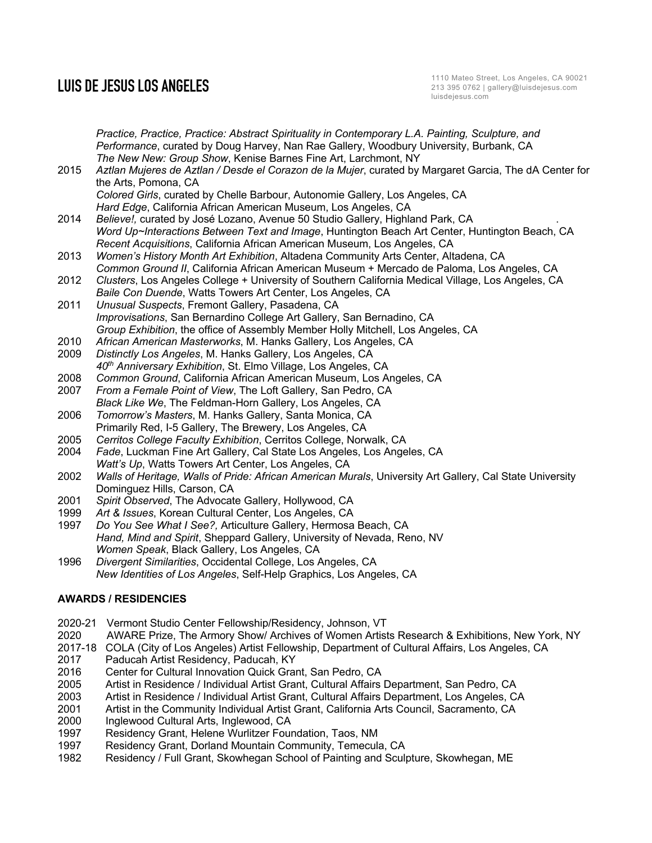*Practice, Practice, Practice: Abstract Spirituality in Contemporary L.A. Painting, Sculpture, and Performance*, curated by Doug Harvey, Nan Rae Gallery, Woodbury University, Burbank, CA *The New New: Group Show*, Kenise Barnes Fine Art, Larchmont, NY 2015 *Aztlan Mujeres de Aztlan / Desde el Corazon de la Mujer*, curated by Margaret Garcia, The dA Center for the Arts, Pomona, CA *Colored Girls*, curated by Chelle Barbour, Autonomie Gallery, Los Angeles, CA *Hard Edge*, California African American Museum, Los Angeles, CA 2014 *Believe!,* curated by José Lozano, Avenue 50 Studio Gallery, Highland Park, CA . *Word Up~Interactions Between Text and Image*, Huntington Beach Art Center, Huntington Beach, CA *Recent Acquisitions*, California African American Museum, Los Angeles, CA 2013 *Women's History Month Art Exhibition*, Altadena Community Arts Center, Altadena, CA *Common Ground II*, California African American Museum + Mercado de Paloma, Los Angeles, CA 2012 *Clusters*, Los Angeles College + University of Southern California Medical Village, Los Angeles, CA *Baile Con Duende*, Watts Towers Art Center, Los Angeles, CA 2011 *Unusual Suspects*, Fremont Gallery, Pasadena, CA *Improvisations*, San Bernardino College Art Gallery, San Bernadino, CA *Group Exhibition*, the office of Assembly Member Holly Mitchell, Los Angeles, CA 2010 *African American Masterworks*, M. Hanks Gallery, Los Angeles, CA 2009 *Distinctly Los Angeles*, M. Hanks Gallery, Los Angeles, CA *40th Anniversary Exhibition*, St. Elmo Village, Los Angeles, CA 2008 *Common Ground*, California African American Museum, Los Angeles, CA 2007 *From a Female Point of View*, The Loft Gallery, San Pedro, CA *Black Like We*, The Feldman-Horn Gallery, Los Angeles, CA 2006 *Tomorrow's Masters*, M. Hanks Gallery, Santa Monica, CA Primarily Red, I-5 Gallery, The Brewery, Los Angeles, CA 2005 *Cerritos College Faculty Exhibition*, Cerritos College, Norwalk, CA 2004 *Fade*, Luckman Fine Art Gallery, Cal State Los Angeles, Los Angeles, CA *Watt's Up*, Watts Towers Art Center, Los Angeles, CA 2002 *Walls of Heritage, Walls of Pride: African American Murals*, University Art Gallery, Cal State University Dominguez Hills, Carson, CA 2001 *Spirit Observed*, The Advocate Gallery, Hollywood, CA 1999 *Art & Issues*, Korean Cultural Center, Los Angeles, CA 1997 *Do You See What I See?,* Articulture Gallery, Hermosa Beach, CA *Hand, Mind and Spirit*, Sheppard Gallery, University of Nevada, Reno, NV *Women Speak*, Black Gallery, Los Angeles, CA 1996 *Divergent Similarities*, Occidental College, Los Angeles, CA

*New Identities of Los Angeles*, Self-Help Graphics, Los Angeles, CA

# **AWARDS / RESIDENCIES**

- 2020-21 Vermont Studio Center Fellowship/Residency, Johnson, VT
- 2020 AWARE Prize, The Armory Show/ Archives of Women Artists Research & Exhibitions, New York, NY
- 2017-18 COLA (City of Los Angeles) Artist Fellowship, Department of Cultural Affairs, Los Angeles, CA
- 2017 Paducah Artist Residency, Paducah, KY
- 2016 Center for Cultural Innovation Quick Grant, San Pedro, CA<br>2005 Artist in Residence / Individual Artist Grant, Cultural Affairs
- Artist in Residence / Individual Artist Grant, Cultural Affairs Department, San Pedro, CA
- 2003 Artist in Residence / Individual Artist Grant, Cultural Affairs Department, Los Angeles, CA
- 2001 Artist in the Community Individual Artist Grant, California Arts Council, Sacramento, CA<br>2000 Inglewood Cultural Arts. Inglewood. CA
- Inglewood Cultural Arts, Inglewood, CA
- 1997 Residency Grant, Helene Wurlitzer Foundation, Taos, NM
- 1997 Residency Grant, Dorland Mountain Community, Temecula, CA
- 1982 Residency / Full Grant, Skowhegan School of Painting and Sculpture, Skowhegan, ME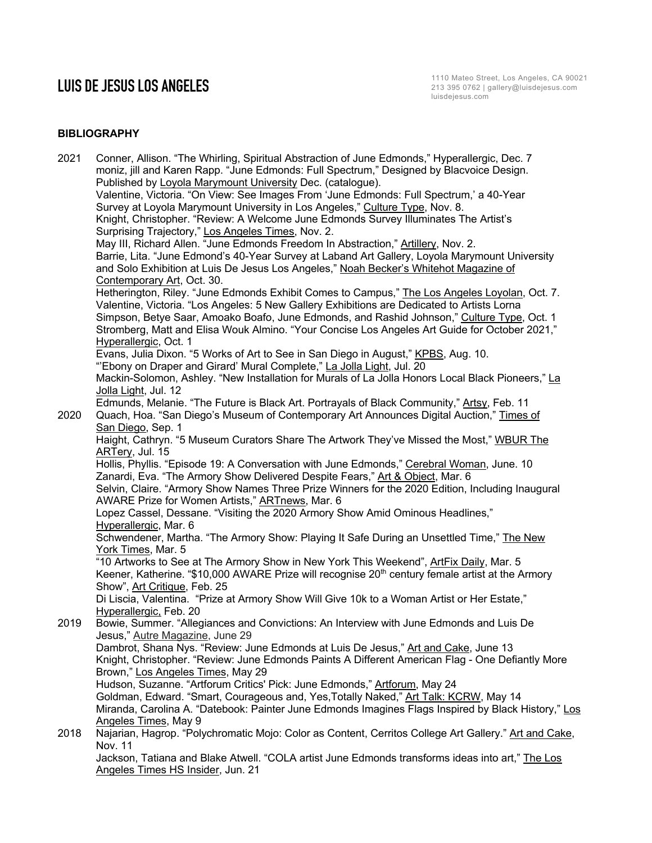# **BIBLIOGRAPHY**

| 2021 | Conner, Allison. "The Whirling, Spiritual Abstraction of June Edmonds," Hyperallergic, Dec. 7<br>moniz, jill and Karen Rapp. "June Edmonds: Full Spectrum," Designed by Blacvoice Design.<br>Published by Loyola Marymount University Dec. (catalogue). |
|------|---------------------------------------------------------------------------------------------------------------------------------------------------------------------------------------------------------------------------------------------------------|
|      | Valentine, Victoria. "On View: See Images From 'June Edmonds: Full Spectrum,' a 40-Year                                                                                                                                                                 |
|      | Survey at Loyola Marymount University in Los Angeles," Culture Type, Nov. 8.                                                                                                                                                                            |
|      | Knight, Christopher. "Review: A Welcome June Edmonds Survey Illuminates The Artist's                                                                                                                                                                    |
|      | Surprising Trajectory," Los Angeles Times, Nov. 2.                                                                                                                                                                                                      |
|      | May III, Richard Allen. "June Edmonds Freedom In Abstraction," Artillery, Nov. 2.                                                                                                                                                                       |
|      | Barrie, Lita. "June Edmond's 40-Year Survey at Laband Art Gallery, Loyola Marymount University                                                                                                                                                          |
|      | and Solo Exhibition at Luis De Jesus Los Angeles," Noah Becker's Whitehot Magazine of                                                                                                                                                                   |
|      | Contemporary Art, Oct. 30.                                                                                                                                                                                                                              |
|      | Hetherington, Riley. "June Edmonds Exhibit Comes to Campus," The Los Angeles Loyolan, Oct. 7.                                                                                                                                                           |
|      | Valentine, Victoria. "Los Angeles: 5 New Gallery Exhibitions are Dedicated to Artists Lorna                                                                                                                                                             |
|      | Simpson, Betye Saar, Amoako Boafo, June Edmonds, and Rashid Johnson," Culture Type, Oct. 1                                                                                                                                                              |
|      | Stromberg, Matt and Elisa Wouk Almino. "Your Concise Los Angeles Art Guide for October 2021,"                                                                                                                                                           |
|      | Hyperallergic, Oct. 1                                                                                                                                                                                                                                   |
|      | Evans, Julia Dixon. "5 Works of Art to See in San Diego in August," KPBS, Aug. 10.                                                                                                                                                                      |
|      | "Ebony on Draper and Girard' Mural Complete," La Jolla Light, Jul. 20                                                                                                                                                                                   |
|      | Mackin-Solomon, Ashley. "New Installation for Murals of La Jolla Honors Local Black Pioneers," La                                                                                                                                                       |
|      | Jolla Light, Jul. 12                                                                                                                                                                                                                                    |
|      | Edmunds, Melanie. "The Future is Black Art. Portrayals of Black Community," Artsy, Feb. 11                                                                                                                                                              |
| 2020 | Quach, Hoa. "San Diego's Museum of Contemporary Art Announces Digital Auction," Times of                                                                                                                                                                |
|      | San Diego, Sep. 1                                                                                                                                                                                                                                       |
|      | Haight, Cathryn. "5 Museum Curators Share The Artwork They've Missed the Most," WBUR The                                                                                                                                                                |
|      | ARTery, Jul. 15                                                                                                                                                                                                                                         |
|      | Hollis, Phyllis. "Episode 19: A Conversation with June Edmonds," Cerebral Woman, June. 10                                                                                                                                                               |
|      | Zanardi, Eva. "The Armory Show Delivered Despite Fears," Art & Object, Mar. 6                                                                                                                                                                           |
|      | Selvin, Claire. "Armory Show Names Three Prize Winners for the 2020 Edition, Including Inaugural                                                                                                                                                        |
|      | AWARE Prize for Women Artists," ARTnews, Mar. 6                                                                                                                                                                                                         |
|      | Lopez Cassel, Dessane. "Visiting the 2020 Armory Show Amid Ominous Headlines,"                                                                                                                                                                          |
|      | Hyperallergic, Mar. 6                                                                                                                                                                                                                                   |
|      | Schwendener, Martha. "The Armory Show: Playing It Safe During an Unsettled Time," The New                                                                                                                                                               |
|      | York Times, Mar. 5                                                                                                                                                                                                                                      |
|      | "10 Artworks to See at The Armory Show in New York This Weekend", ArtFix Daily, Mar. 5                                                                                                                                                                  |
|      | Keener, Katherine. "\$10,000 AWARE Prize will recognise 20 <sup>th</sup> century female artist at the Armory                                                                                                                                            |
|      | Show", Art Critique, Feb. 25                                                                                                                                                                                                                            |
|      | Di Liscia, Valentina. "Prize at Armory Show Will Give 10k to a Woman Artist or Her Estate,"                                                                                                                                                             |
|      | Hyperallergic, Feb. 20                                                                                                                                                                                                                                  |
| 2019 | Bowie, Summer. "Allegiances and Convictions: An Interview with June Edmonds and Luis De                                                                                                                                                                 |
|      | Jesus," Autre Magazine, June 29                                                                                                                                                                                                                         |
|      | Dambrot, Shana Nys. "Review: June Edmonds at Luis De Jesus," Art and Cake, June 13                                                                                                                                                                      |
|      | Knight, Christopher. "Review: June Edmonds Paints A Different American Flag - One Defiantly More                                                                                                                                                        |
|      | Brown," Los Angeles Times, May 29                                                                                                                                                                                                                       |
|      | Hudson, Suzanne. "Artforum Critics' Pick: June Edmonds," Artforum, May 24                                                                                                                                                                               |
|      | Goldman, Edward. "Smart, Courageous and, Yes, Totally Naked," Art Talk: KCRW, May 14                                                                                                                                                                    |
|      | Miranda, Carolina A. "Datebook: Painter June Edmonds Imagines Flags Inspired by Black History," Los                                                                                                                                                     |
|      | Angeles Times, May 9                                                                                                                                                                                                                                    |
| 2018 | Najarian, Hagrop. "Polychromatic Mojo: Color as Content, Cerritos College Art Gallery." Art and Cake,                                                                                                                                                   |
|      | Nov. 11                                                                                                                                                                                                                                                 |
|      | Jackson, Tatiana and Blake Atwell. "COLA artist June Edmonds transforms ideas into art," The Los                                                                                                                                                        |
|      | Angeles Times HS Insider, Jun. 21                                                                                                                                                                                                                       |